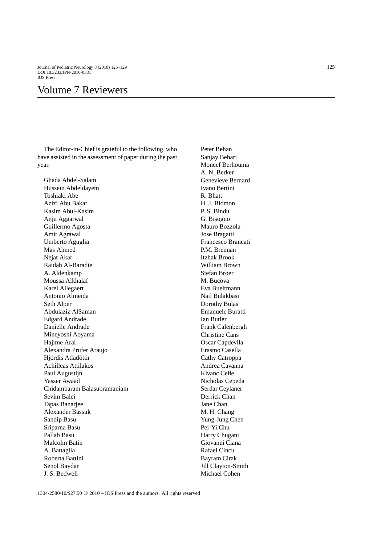Journal of Pediatric Neurology 8 (2010) 125–129 125 DOI 10.3233/JPN-2010-0381 IOS Press

## Volume 7 Reviewers

The Editor-in-Chief is grateful to the following, who have assisted in the assessment of paper during the past year.

Ghada Abdel-Salam Hussein Abdeldayem Toshiaki Abe Azizi Abu Bakar Kasim Abul-Kasim Anju Aggarwal Guillermo Agosta Amit Agrawal Umberto Aguglia Mas Ahmed Nejat Akar Raidah Al-Baradie A. Aldenkamp Moussa Alkhalaf Karel Allegaert Antonio Almeida Seth Alper Abdulaziz AlSaman Edgard Andrade Danielle Andrade Mineyoshi Aoyama Hajime Arai Alexandra Prufer Araujo Hjördis Atladóttir Achilleas Attilakos Paul Augustijn Yasser Awaad Chidambaram Balasubramaniam Sevim Balci Tapas Banarjee Alexander Bassuk Sandip Basu Sriparna Basu Pallab Basu Malcolm Batin A. Battaglia Roberta Battini Senol Baydar J. S. Bedwell

Peter Behan Sanjay Behari Moncef Berhouma A. N. Berker Genevieve Bernard Ivano Bertini R. Bhatt H. J. Bidmon P. S. Bindu G. Bisogno Mauro Bozzola José Bragatti Francesco Brancati P.M. Brennan Itzhak Brook William Brown Stefan Bröer M. Bucova Eva Bueltmann Nail Bulakbasi Dorothy Bulas Emanuele Buratti Ian Butler Frank Calenbergh Christine Cans Oscar Capdevila Erasmo Casella Cathy Catroppa Andrea Cavanna Kivanc Cefle Nicholas Cepeda Serdar Ceylaner Derrick Chan Jane Chan M. H. Chang Yung-Jung Chen Pei-Yi Chu Harry Chugani Giovanni Ciana Rafael Cincu Bayram Cirak Jill Clayton-Smith Michael Cohen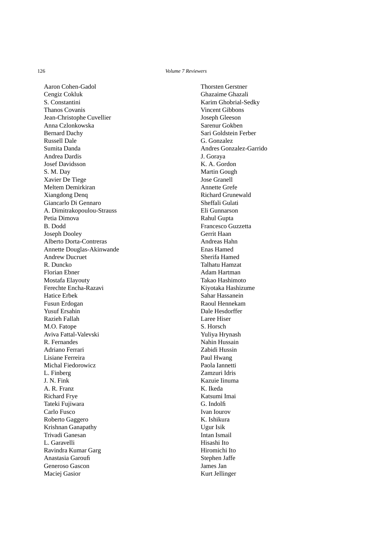126 *Volume 7 Reviewers*

Aaron Cohen-Gadol Cengiz Cokluk S. Constantini Thanos Covanis Jean-Christophe Cuvellier Anna Czlonkowska Bernard Dachy Russell Dale Sumita Danda Andrea Dardis Josef Davidsson S. M. Day Xavier De Tiege Meltem Demirkiran Xiangdong Denq Giancarlo Di Gennaro A. Dimitrakopoulou-Strauss Petia Dimova B. Dodd Joseph Dooley Alberto Dorta-Contreras Annette Douglas-Akinwande Andrew Ducruet R. Duncko Florian Ebner Mostafa Elayouty Ferechte Encha-Razavi Hatice Erbek Fusun Erdogan Yusuf Ersahin Razieh Fallah M.O. Fatope Aviva Fattal-Valevski R. Fernandes Adriano Ferrari Lisiane Ferreira Michal Fiedorowicz L. Finberg J. N. Fink A. R. Franz Richard Frye Tateki Fujiwara Carlo Fusco Roberto Gaggero Krishnan Ganapathy Trivadi Ganesan L. Garavelli Ravindra Kumar Garg Anastasia Garoufi Generoso Gascon Maciej Gasior

Thorsten Gerstner Ghazaime Ghazali Karim Ghobrial-Sedky Vincent Gibbons Joseph Gleeson Sarenur Gokben Sari Goldstein Ferber G. Gonzalez Andres Gonzalez-Garrido J. Goraya K. A. Gordon Martin Gough Jose Granell Annette Grefe Richard Grunewald Sheffali Gulati Eli Gunnarson Rahul Gupta Francesco Guzzetta Gerrit Haan Andreas Hahn Enas Hamed Sherifa Hamed Talhatu Hamzat Adam Hartman Takao Hashimoto Kiyotaka Hashizume Sahar Hassanein Raoul Hennekam Dale Hesdorffer Laree Hiser S. Horsch Yuliya Hrynash Nahin Hussain Zabidi Hussin Paul Hwang Paola Iannetti Zamzuri Idris Kazuie Iinuma K. Ikeda Katsumi Imai G. Indolfi Ivan Iourov K. Ishikura Ugur Isik Intan Ismail Hisashi Ito Hiromichi Ito Stephen Jaffe James Jan Kurt Jellinger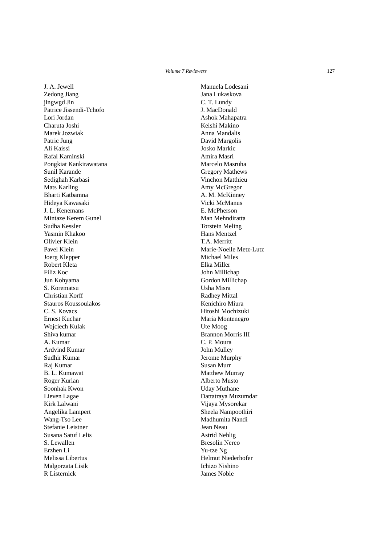J. A. Jewell Zedong Jiang jingwgd Jin Patrice Jissendi-Tchofo Lori Jordan Charuta Joshi Marek Jozwiak Patric Jung Ali Kaissi Rafal Kaminski Pongkiat Kankirawatana Sunil Karande Sedighah Karbasi Mats Karling Bharti Katbamna Hideya Kawasaki J. L. Kenemans Mintaze Kerem Gunel Sudha Kessler Yasmin Khakoo Olivier Klein Pavel Klein Joerg Klepper Robert Kleta Filiz Koc Jun Kohyama S. Korematsu Christian Korff Stauros Koussoulakos C. S. Kovacs Ernest Kuchar Wojciech Kulak Shiva kumar A. Kumar Ardvind Kumar Sudhir Kumar Raj Kumar B. L. Kumawat Roger Kurlan Soonhak Kwon Lieven Lagae Kirk Lalwani Angelika Lampert Wang-Tso Lee Stefanie Leistner Susana Satuf Lelis S. Lewallen Erzhen Li Melissa Libertus Malgorzata Lisik R Listernick

Manuela Lodesani Jana Lukaskova C. T. Lundy J. MacDonald Ashok Mahapatra Keishi Makino Anna Mandalis David Margolis Josko Markic Amira Masri Marcelo Masruha Gregory Mathews Vinchon Matthieu Amy McGregor A. M. McKinney Vicki McManus E. McPherson Man Mehndiratta Torstein Meling Hans Mentzel T.A. Merritt Marie-Noelle Metz-Lutz Michael Miles Elka Miller John Millichap Gordon Millichap Usha Misra Radhey Mittal Kenichiro Miura Hitoshi Mochizuki Maria Montenegro Ute Moog Brannon Morris III C. P. Moura John Mulley Jerome Murphy Susan Murr Matthew Murray Alberto Musto Uday Muthane Dattatraya Muzumdar Vijaya Mysorekar Sheela Nampoothiri Madhumita Nandi Jean Neau Astrid Nehlig Bresolin Nereo Yu-tze Ng Helmut Niederhofer Ichizo Nishino James Noble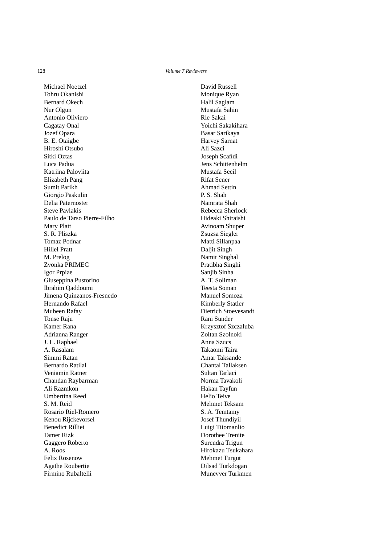Michael Noetzel Tohru Okanishi Bernard Okech Nur Olgun Antonio Oliviero Cagatay Onal Jozef Opara B. E. Otaigbe Hiroshi Otsubo Sitki Oztas Luca Padua Katriina Paloviita Elizabeth Pang Sumit Parikh Giorgio Paskulin Delia Paternoster Steve Pavlakis Paulo de Tarso Pierre-Filho Mary Platt S. R. Pliszka Tomaz Podnar Hillel Pratt M. Prelog Zvonka PRIMEC Igor Prpiae Giuseppina Pustorino Ibrahim Qaddoumi Jimena Quinzanos-Fresnedo Hernando Rafael Mubeen Rafay Tonse Raju Kamer Rana Adrianna Ranger J. L. Raphael A. Rasalam Simmi Ratan Bernardo Ratilal Veniamin Ratner Chandan Raybarman Ali Razmkon Umbertina Reed S. M. Reid Rosario Riel-Romero Kenou Rijckevorsel Benedict Rilliet Tamer Rizk Gaggero Roberto A. Roos Felix Rosenow Agathe Roubertie Firmino Rubaltelli

David Russell Monique Ryan Halil Saglam Mustafa Sahin Rie Sakai Yoichi Sakakihara Basar Sarikaya Harvey Sarnat Ali Sazci Joseph Scafidi Jens Schittenhelm Mustafa Secil Rifat Sener Ahmad Settin P. S. Shah Namrata Shah Rebecca Sherlock Hideaki Shiraishi Avinoam Shuper Zsuzsa Siegler Matti Sillanpaa Daljit Singh Namit Singhal Pratibha Singhi Sanjib Sinha A. T. Soliman Teesta Soman Manuel Somoza Kimberly Statler Dietrich Stoevesandt Rani Sunder Krzysztof Szczaluba Zoltan Szolnoki Anna Szucs Takaomi Taira Amar Taksande Chantal Tallaksen Sultan Tarlaci Norma Tavakoli Hakan Tayfun Helio Teive Mehmet Teksam S. A. Temtamy Josef Thundiyil Luigi Titomanlio Dorothee Trenite Surendra Trigun Hirokazu Tsukahara Mehmet Turgut Dilsad Turkdogan Munevver Turkmen